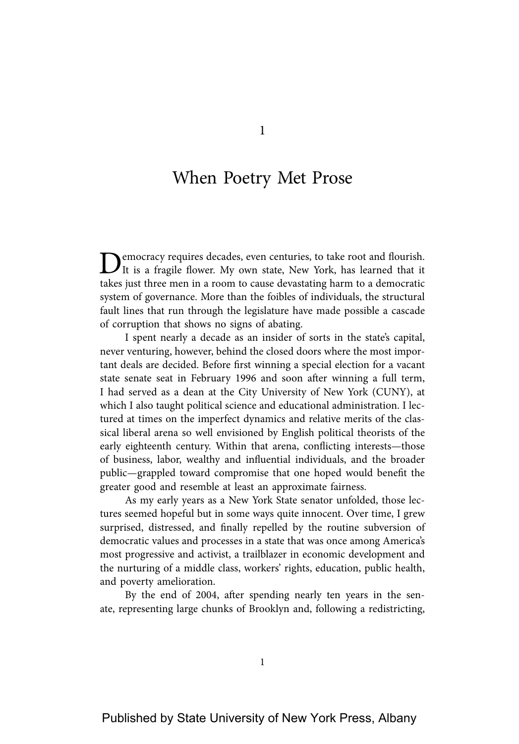1

# When Poetry Met Prose

Democracy requires decades, even centuries, to take root and flourish.<br>It is a fragile flower. My own state, New York, has learned that it takes just three men in a room to cause devastating harm to a democratic system of governance. More than the foibles of individuals, the structural fault lines that run through the legislature have made possible a cascade of corruption that shows no signs of abating.

I spent nearly a decade as an insider of sorts in the state's capital, never venturing, however, behind the closed doors where the most important deals are decided. Before first winning a special election for a vacant state senate seat in February 1996 and soon after winning a full term, I had served as a dean at the City University of New York (CUNY), at which I also taught political science and educational administration. I lectured at times on the imperfect dynamics and relative merits of the classical liberal arena so well envisioned by English political theorists of the early eighteenth century. Within that arena, conflicting interests—those of business, labor, wealthy and influential individuals, and the broader public—grappled toward compromise that one hoped would benefit the greater good and resemble at least an approximate fairness.

As my early years as a New York State senator unfolded, those lectures seemed hopeful but in some ways quite innocent. Over time, I grew surprised, distressed, and finally repelled by the routine subversion of democratic values and processes in a state that was once among America's most progressive and activist, a trailblazer in economic development and the nurturing of a middle class, workers' rights, education, public health, and poverty amelioration.

By the end of 2004, after spending nearly ten years in the senate, representing large chunks of Brooklyn and, following a redistricting,

1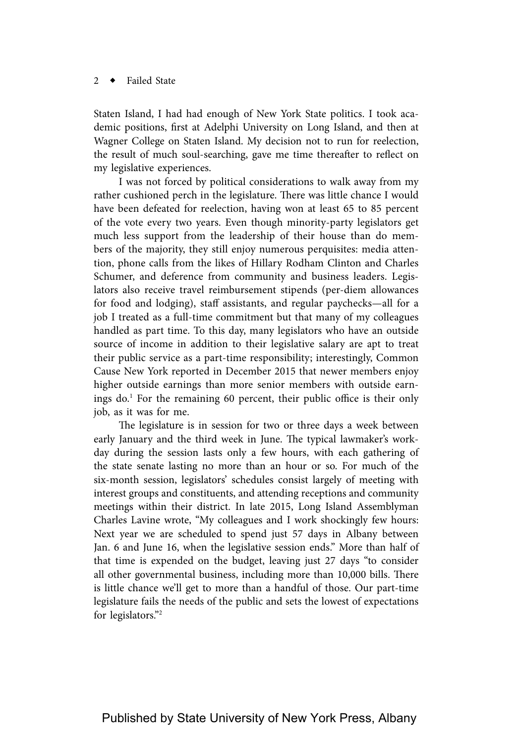Staten Island, I had had enough of New York State politics. I took academic positions, first at Adelphi University on Long Island, and then at Wagner College on Staten Island. My decision not to run for reelection, the result of much soul-searching, gave me time thereafter to reflect on my legislative experiences.

I was not forced by political considerations to walk away from my rather cushioned perch in the legislature. There was little chance I would have been defeated for reelection, having won at least 65 to 85 percent of the vote every two years. Even though minority-party legislators get much less support from the leadership of their house than do members of the majority, they still enjoy numerous perquisites: media attention, phone calls from the likes of Hillary Rodham Clinton and Charles Schumer, and deference from community and business leaders. Legislators also receive travel reimbursement stipends (per-diem allowances for food and lodging), staff assistants, and regular paychecks—all for a job I treated as a full-time commitment but that many of my colleagues handled as part time. To this day, many legislators who have an outside source of income in addition to their legislative salary are apt to treat their public service as a part-time responsibility; interestingly, Common Cause New York reported in December 2015 that newer members enjoy higher outside earnings than more senior members with outside earnings do.1 For the remaining 60 percent, their public office is their only job, as it was for me.

The legislature is in session for two or three days a week between early January and the third week in June. The typical lawmaker's workday during the session lasts only a few hours, with each gathering of the state senate lasting no more than an hour or so. For much of the six-month session, legislators' schedules consist largely of meeting with interest groups and constituents, and attending receptions and community meetings within their district. In late 2015, Long Island Assemblyman Charles Lavine wrote, "My colleagues and I work shockingly few hours: Next year we are scheduled to spend just 57 days in Albany between Jan. 6 and June 16, when the legislative session ends." More than half of that time is expended on the budget, leaving just 27 days "to consider all other governmental business, including more than 10,000 bills. There is little chance we'll get to more than a handful of those. Our part-time legislature fails the needs of the public and sets the lowest of expectations for legislators."2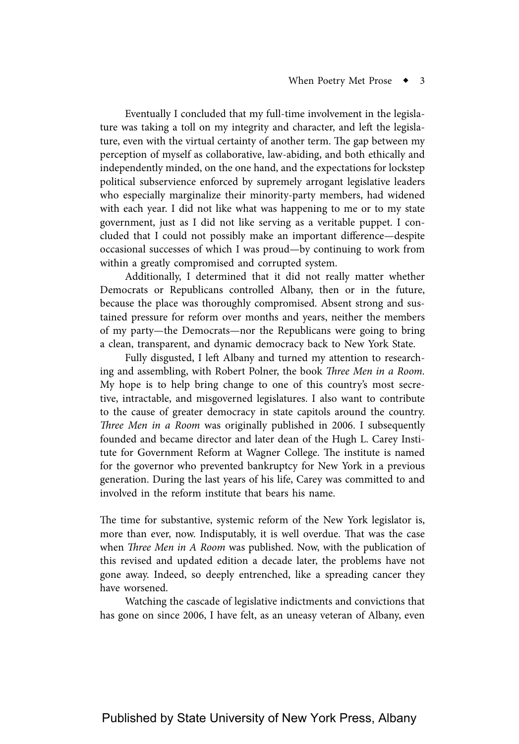Eventually I concluded that my full-time involvement in the legislature was taking a toll on my integrity and character, and left the legislature, even with the virtual certainty of another term. The gap between my perception of myself as collaborative, law-abiding, and both ethically and independently minded, on the one hand, and the expectations for lockstep political subservience enforced by supremely arrogant legislative leaders who especially marginalize their minority-party members, had widened with each year. I did not like what was happening to me or to my state government, just as I did not like serving as a veritable puppet. I concluded that I could not possibly make an important difference—despite occasional successes of which I was proud—by continuing to work from within a greatly compromised and corrupted system.

Additionally, I determined that it did not really matter whether Democrats or Republicans controlled Albany, then or in the future, because the place was thoroughly compromised. Absent strong and sustained pressure for reform over months and years, neither the members of my party—the Democrats—nor the Republicans were going to bring a clean, transparent, and dynamic democracy back to New York State.

Fully disgusted, I left Albany and turned my attention to researching and assembling, with Robert Polner, the book *Three Men in a Room.* My hope is to help bring change to one of this country's most secretive, intractable, and misgoverned legislatures. I also want to contribute to the cause of greater democracy in state capitols around the country. *Three Men in a Room* was originally published in 2006. I subsequently founded and became director and later dean of the Hugh L. Carey Institute for Government Reform at Wagner College. The institute is named for the governor who prevented bankruptcy for New York in a previous generation. During the last years of his life, Carey was committed to and involved in the reform institute that bears his name.

The time for substantive, systemic reform of the New York legislator is, more than ever, now. Indisputably, it is well overdue. That was the case when *Three Men in A Room* was published. Now, with the publication of this revised and updated edition a decade later, the problems have not gone away. Indeed, so deeply entrenched, like a spreading cancer they have worsened.

Watching the cascade of legislative indictments and convictions that has gone on since 2006, I have felt, as an uneasy veteran of Albany, even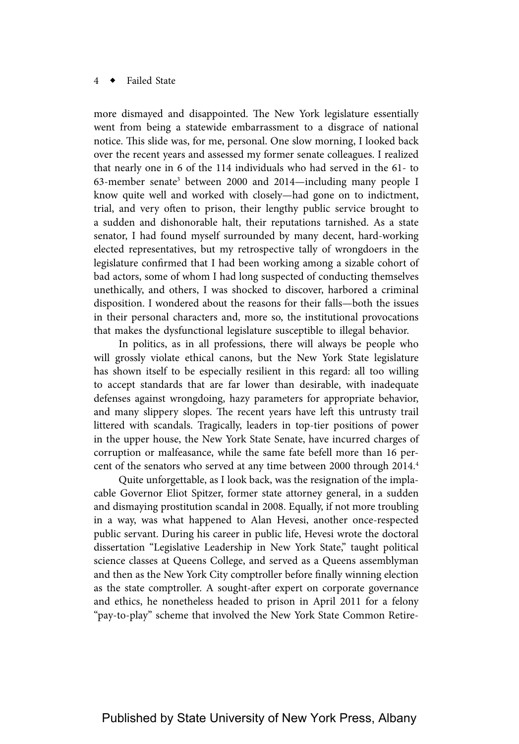more dismayed and disappointed. The New York legislature essentially went from being a statewide embarrassment to a disgrace of national notice. This slide was, for me, personal. One slow morning, I looked back over the recent years and assessed my former senate colleagues. I realized that nearly one in 6 of the 114 individuals who had served in the 61- to 63-member senate<sup>3</sup> between 2000 and 2014—including many people I know quite well and worked with closely—had gone on to indictment, trial, and very often to prison, their lengthy public service brought to a sudden and dishonorable halt, their reputations tarnished. As a state senator, I had found myself surrounded by many decent, hard-working elected representatives, but my retrospective tally of wrongdoers in the legislature confirmed that I had been working among a sizable cohort of bad actors, some of whom I had long suspected of conducting themselves unethically, and others, I was shocked to discover, harbored a criminal disposition. I wondered about the reasons for their falls—both the issues in their personal characters and, more so, the institutional provocations that makes the dysfunctional legislature susceptible to illegal behavior.

In politics, as in all professions, there will always be people who will grossly violate ethical canons, but the New York State legislature has shown itself to be especially resilient in this regard: all too willing to accept standards that are far lower than desirable, with inadequate defenses against wrongdoing, hazy parameters for appropriate behavior, and many slippery slopes. The recent years have left this untrusty trail littered with scandals. Tragically, leaders in top-tier positions of power in the upper house, the New York State Senate, have incurred charges of corruption or malfeasance, while the same fate befell more than 16 percent of the senators who served at any time between 2000 through 2014.<sup>4</sup>

Quite unforgettable, as I look back, was the resignation of the implacable Governor Eliot Spitzer, former state attorney general, in a sudden and dismaying prostitution scandal in 2008. Equally, if not more troubling in a way, was what happened to Alan Hevesi, another once-respected public servant. During his career in public life, Hevesi wrote the doctoral dissertation "Legislative Leadership in New York State," taught political science classes at Queens College, and served as a Queens assemblyman and then as the New York City comptroller before finally winning election as the state comptroller. A sought-after expert on corporate governance and ethics, he nonetheless headed to prison in April 2011 for a felony "pay-to-play" scheme that involved the New York State Common Retire-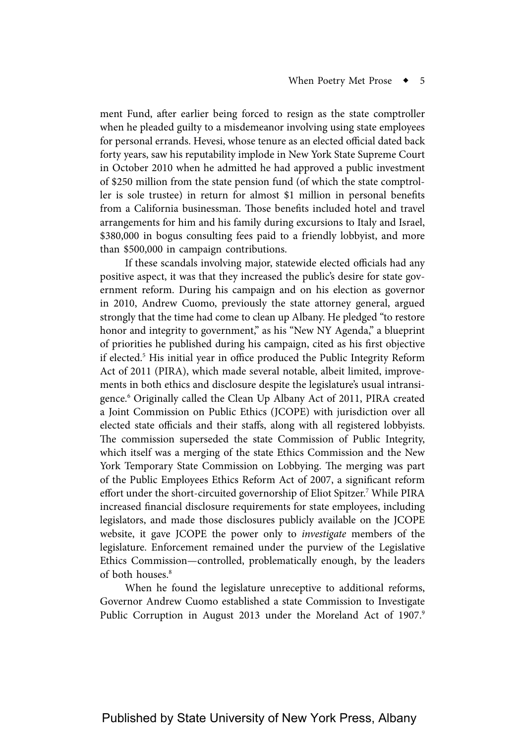ment Fund, after earlier being forced to resign as the state comptroller when he pleaded guilty to a misdemeanor involving using state employees for personal errands. Hevesi, whose tenure as an elected official dated back forty years, saw his reputability implode in New York State Supreme Court in October 2010 when he admitted he had approved a public investment of \$250 million from the state pension fund (of which the state comptroller is sole trustee) in return for almost \$1 million in personal benefits from a California businessman. Those benefits included hotel and travel arrangements for him and his family during excursions to Italy and Israel, \$380,000 in bogus consulting fees paid to a friendly lobbyist, and more than \$500,000 in campaign contributions.

If these scandals involving major, statewide elected officials had any positive aspect, it was that they increased the public's desire for state government reform. During his campaign and on his election as governor in 2010, Andrew Cuomo, previously the state attorney general, argued strongly that the time had come to clean up Albany. He pledged "to restore honor and integrity to government," as his "New NY Agenda," a blueprint of priorities he published during his campaign, cited as his first objective if elected.5 His initial year in office produced the Public Integrity Reform Act of 2011 (PIRA), which made several notable, albeit limited, improvements in both ethics and disclosure despite the legislature's usual intransigence.6 Originally called the Clean Up Albany Act of 2011, PIRA created a Joint Commission on Public Ethics (JCOPE) with jurisdiction over all elected state officials and their staffs, along with all registered lobbyists. The commission superseded the state Commission of Public Integrity, which itself was a merging of the state Ethics Commission and the New York Temporary State Commission on Lobbying. The merging was part of the Public Employees Ethics Reform Act of 2007, a significant reform effort under the short-circuited governorship of Eliot Spitzer.<sup>7</sup> While PIRA increased financial disclosure requirements for state employees, including legislators, and made those disclosures publicly available on the JCOPE website, it gave JCOPE the power only to *investigate* members of the legislature. Enforcement remained under the purview of the Legislative Ethics Commission—controlled, problematically enough, by the leaders of both houses.<sup>8</sup>

When he found the legislature unreceptive to additional reforms, Governor Andrew Cuomo established a state Commission to Investigate Public Corruption in August 2013 under the Moreland Act of 1907.9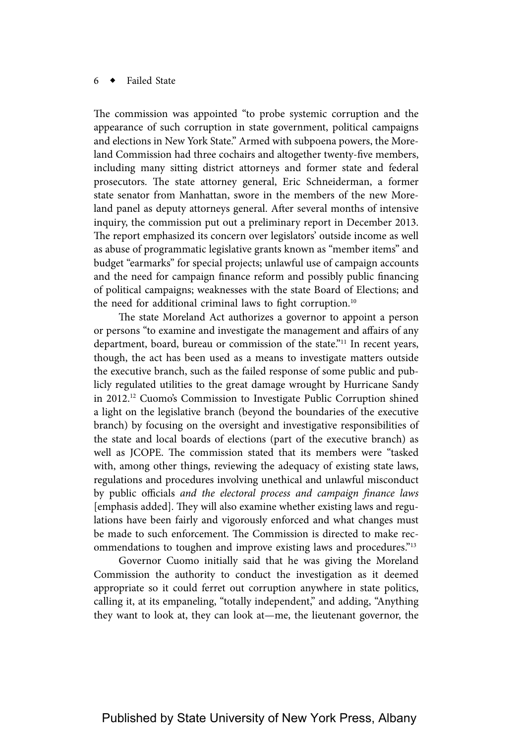The commission was appointed "to probe systemic corruption and the appearance of such corruption in state government, political campaigns and elections in New York State." Armed with subpoena powers, the Moreland Commission had three cochairs and altogether twenty-five members, including many sitting district attorneys and former state and federal prosecutors. The state attorney general, Eric Schneiderman, a former state senator from Manhattan, swore in the members of the new Moreland panel as deputy attorneys general. After several months of intensive inquiry, the commission put out a preliminary report in December 2013. The report emphasized its concern over legislators' outside income as well as abuse of programmatic legislative grants known as "member items" and budget "earmarks" for special projects; unlawful use of campaign accounts and the need for campaign finance reform and possibly public financing of political campaigns; weaknesses with the state Board of Elections; and the need for additional criminal laws to fight corruption.<sup>10</sup>

The state Moreland Act authorizes a governor to appoint a person or persons "to examine and investigate the management and affairs of any department, board, bureau or commission of the state."<sup>11</sup> In recent years, though, the act has been used as a means to investigate matters outside the executive branch, such as the failed response of some public and publicly regulated utilities to the great damage wrought by Hurricane Sandy in 2012.12 Cuomo's Commission to Investigate Public Corruption shined a light on the legislative branch (beyond the boundaries of the executive branch) by focusing on the oversight and investigative responsibilities of the state and local boards of elections (part of the executive branch) as well as JCOPE. The commission stated that its members were "tasked with, among other things, reviewing the adequacy of existing state laws, regulations and procedures involving unethical and unlawful misconduct by public officials *and the electoral process and campaign finance laws* [emphasis added]. They will also examine whether existing laws and regulations have been fairly and vigorously enforced and what changes must be made to such enforcement. The Commission is directed to make recommendations to toughen and improve existing laws and procedures."13

Governor Cuomo initially said that he was giving the Moreland Commission the authority to conduct the investigation as it deemed appropriate so it could ferret out corruption anywhere in state politics, calling it, at its empaneling, "totally independent," and adding, "Anything they want to look at, they can look at—me, the lieutenant governor, the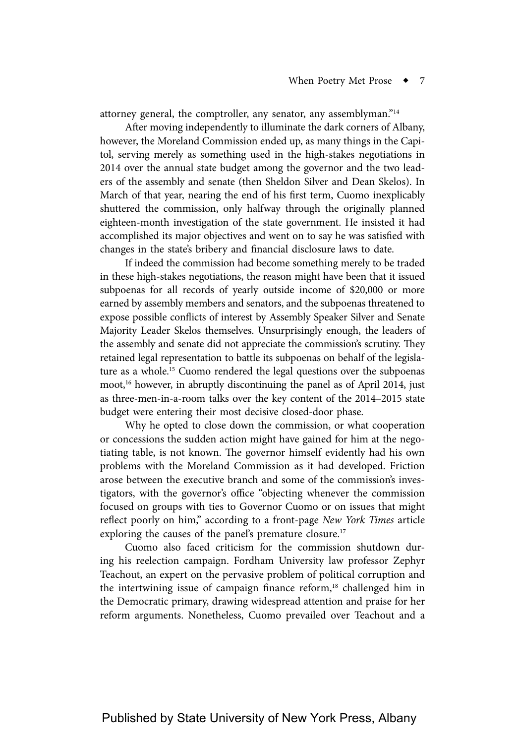attorney general, the comptroller, any senator, any assemblyman."14

After moving independently to illuminate the dark corners of Albany, however, the Moreland Commission ended up, as many things in the Capitol, serving merely as something used in the high-stakes negotiations in 2014 over the annual state budget among the governor and the two leaders of the assembly and senate (then Sheldon Silver and Dean Skelos). In March of that year, nearing the end of his first term, Cuomo inexplicably shuttered the commission, only halfway through the originally planned eighteen-month investigation of the state government. He insisted it had accomplished its major objectives and went on to say he was satisfied with changes in the state's bribery and financial disclosure laws to date.

If indeed the commission had become something merely to be traded in these high-stakes negotiations, the reason might have been that it issued subpoenas for all records of yearly outside income of \$20,000 or more earned by assembly members and senators, and the subpoenas threatened to expose possible conflicts of interest by Assembly Speaker Silver and Senate Majority Leader Skelos themselves. Unsurprisingly enough, the leaders of the assembly and senate did not appreciate the commission's scrutiny. They retained legal representation to battle its subpoenas on behalf of the legislature as a whole.15 Cuomo rendered the legal questions over the subpoenas moot,<sup>16</sup> however, in abruptly discontinuing the panel as of April 2014, just as three-men-in-a-room talks over the key content of the 2014–2015 state budget were entering their most decisive closed-door phase.

Why he opted to close down the commission, or what cooperation or concessions the sudden action might have gained for him at the negotiating table, is not known. The governor himself evidently had his own problems with the Moreland Commission as it had developed. Friction arose between the executive branch and some of the commission's investigators, with the governor's office "objecting whenever the commission focused on groups with ties to Governor Cuomo or on issues that might reflect poorly on him," according to a front-page *New York Times* article exploring the causes of the panel's premature closure.<sup>17</sup>

Cuomo also faced criticism for the commission shutdown during his reelection campaign. Fordham University law professor Zephyr Teachout, an expert on the pervasive problem of political corruption and the intertwining issue of campaign finance reform,<sup>18</sup> challenged him in the Democratic primary, drawing widespread attention and praise for her reform arguments. Nonetheless, Cuomo prevailed over Teachout and a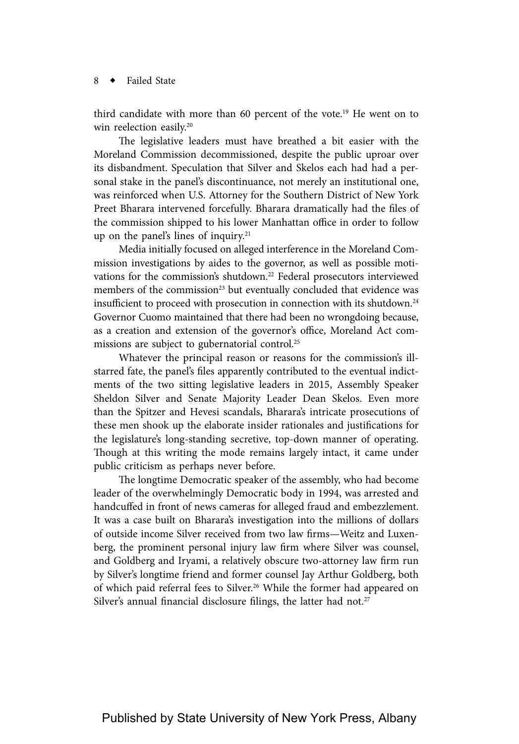third candidate with more than 60 percent of the vote.<sup>19</sup> He went on to win reelection easily.<sup>20</sup>

The legislative leaders must have breathed a bit easier with the Moreland Commission decommissioned, despite the public uproar over its disbandment. Speculation that Silver and Skelos each had had a personal stake in the panel's discontinuance, not merely an institutional one, was reinforced when U.S. Attorney for the Southern District of New York Preet Bharara intervened forcefully. Bharara dramatically had the files of the commission shipped to his lower Manhattan office in order to follow up on the panel's lines of inquiry.21

Media initially focused on alleged interference in the Moreland Commission investigations by aides to the governor, as well as possible motivations for the commission's shutdown.<sup>22</sup> Federal prosecutors interviewed members of the commission<sup>23</sup> but eventually concluded that evidence was insufficient to proceed with prosecution in connection with its shutdown.<sup>24</sup> Governor Cuomo maintained that there had been no wrongdoing because, as a creation and extension of the governor's office, Moreland Act commissions are subject to gubernatorial control.25

Whatever the principal reason or reasons for the commission's illstarred fate, the panel's files apparently contributed to the eventual indictments of the two sitting legislative leaders in 2015, Assembly Speaker Sheldon Silver and Senate Majority Leader Dean Skelos. Even more than the Spitzer and Hevesi scandals, Bharara's intricate prosecutions of these men shook up the elaborate insider rationales and justifications for the legislature's long-standing secretive, top-down manner of operating. Though at this writing the mode remains largely intact, it came under public criticism as perhaps never before.

The longtime Democratic speaker of the assembly, who had become leader of the overwhelmingly Democratic body in 1994, was arrested and handcuffed in front of news cameras for alleged fraud and embezzlement. It was a case built on Bharara's investigation into the millions of dollars of outside income Silver received from two law firms—Weitz and Luxenberg, the prominent personal injury law firm where Silver was counsel, and Goldberg and Iryami, a relatively obscure two-attorney law firm run by Silver's longtime friend and former counsel Jay Arthur Goldberg, both of which paid referral fees to Silver.<sup>26</sup> While the former had appeared on Silver's annual financial disclosure filings, the latter had not.<sup>27</sup>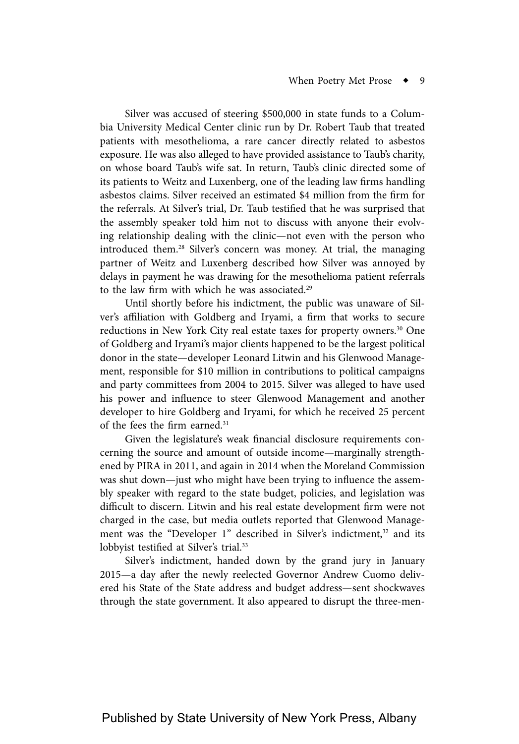#### When Poetry Met Prose  $\rightarrow$  9

Silver was accused of steering \$500,000 in state funds to a Columbia University Medical Center clinic run by Dr. Robert Taub that treated patients with mesothelioma, a rare cancer directly related to asbestos exposure. He was also alleged to have provided assistance to Taub's charity, on whose board Taub's wife sat. In return, Taub's clinic directed some of its patients to Weitz and Luxenberg, one of the leading law firms handling asbestos claims. Silver received an estimated \$4 million from the firm for the referrals. At Silver's trial, Dr. Taub testified that he was surprised that the assembly speaker told him not to discuss with anyone their evolving relationship dealing with the clinic—not even with the person who introduced them.28 Silver's concern was money. At trial, the managing partner of Weitz and Luxenberg described how Silver was annoyed by delays in payment he was drawing for the mesothelioma patient referrals to the law firm with which he was associated.<sup>29</sup>

Until shortly before his indictment, the public was unaware of Silver's affiliation with Goldberg and Iryami, a firm that works to secure reductions in New York City real estate taxes for property owners.<sup>30</sup> One of Goldberg and Iryami's major clients happened to be the largest political donor in the state—developer Leonard Litwin and his Glenwood Management, responsible for \$10 million in contributions to political campaigns and party committees from 2004 to 2015. Silver was alleged to have used his power and influence to steer Glenwood Management and another developer to hire Goldberg and Iryami, for which he received 25 percent of the fees the firm earned.<sup>31</sup>

Given the legislature's weak financial disclosure requirements concerning the source and amount of outside income—marginally strengthened by PIRA in 2011, and again in 2014 when the Moreland Commission was shut down—just who might have been trying to influence the assembly speaker with regard to the state budget, policies, and legislation was difficult to discern. Litwin and his real estate development firm were not charged in the case, but media outlets reported that Glenwood Management was the "Developer 1" described in Silver's indictment,<sup>32</sup> and its lobbyist testified at Silver's trial.<sup>33</sup>

Silver's indictment, handed down by the grand jury in January 2015—a day after the newly reelected Governor Andrew Cuomo delivered his State of the State address and budget address—sent shockwaves through the state government. It also appeared to disrupt the three-men-

Published by State University of New York Press, Albany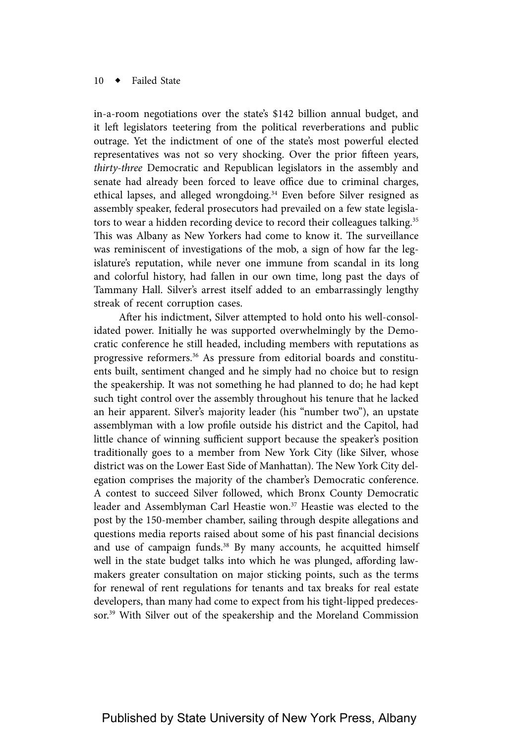in-a-room negotiations over the state's \$142 billion annual budget, and it left legislators teetering from the political reverberations and public outrage. Yet the indictment of one of the state's most powerful elected representatives was not so very shocking. Over the prior fifteen years, *thirty-three* Democratic and Republican legislators in the assembly and senate had already been forced to leave office due to criminal charges, ethical lapses, and alleged wrongdoing.<sup>34</sup> Even before Silver resigned as assembly speaker, federal prosecutors had prevailed on a few state legislators to wear a hidden recording device to record their colleagues talking.<sup>35</sup> This was Albany as New Yorkers had come to know it. The surveillance was reminiscent of investigations of the mob, a sign of how far the legislature's reputation, while never one immune from scandal in its long and colorful history, had fallen in our own time, long past the days of Tammany Hall. Silver's arrest itself added to an embarrassingly lengthy streak of recent corruption cases.

After his indictment, Silver attempted to hold onto his well-consolidated power. Initially he was supported overwhelmingly by the Democratic conference he still headed, including members with reputations as progressive reformers.36 As pressure from editorial boards and constituents built, sentiment changed and he simply had no choice but to resign the speakership. It was not something he had planned to do; he had kept such tight control over the assembly throughout his tenure that he lacked an heir apparent. Silver's majority leader (his "number two"), an upstate assemblyman with a low profile outside his district and the Capitol, had little chance of winning sufficient support because the speaker's position traditionally goes to a member from New York City (like Silver, whose district was on the Lower East Side of Manhattan). The New York City delegation comprises the majority of the chamber's Democratic conference. A contest to succeed Silver followed, which Bronx County Democratic leader and Assemblyman Carl Heastie won.<sup>37</sup> Heastie was elected to the post by the 150-member chamber, sailing through despite allegations and questions media reports raised about some of his past financial decisions and use of campaign funds.<sup>38</sup> By many accounts, he acquitted himself well in the state budget talks into which he was plunged, affording lawmakers greater consultation on major sticking points, such as the terms for renewal of rent regulations for tenants and tax breaks for real estate developers, than many had come to expect from his tight-lipped predecessor.39 With Silver out of the speakership and the Moreland Commission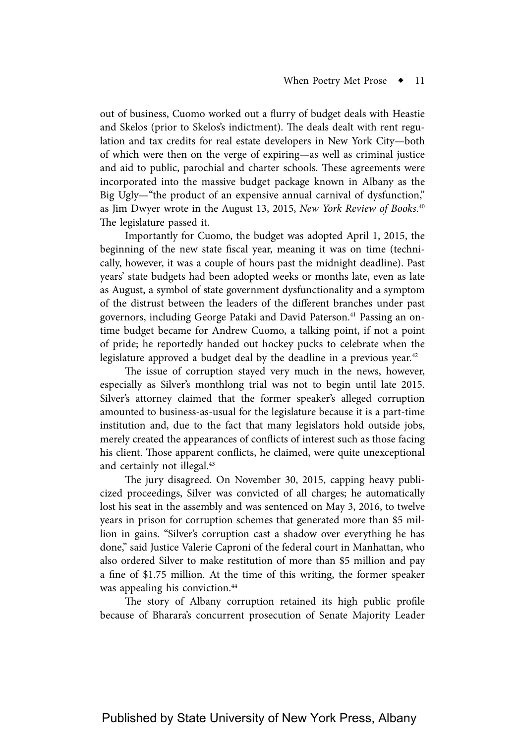out of business, Cuomo worked out a flurry of budget deals with Heastie and Skelos (prior to Skelos's indictment). The deals dealt with rent regulation and tax credits for real estate developers in New York City—both of which were then on the verge of expiring—as well as criminal justice and aid to public, parochial and charter schools. These agreements were incorporated into the massive budget package known in Albany as the Big Ugly—"the product of an expensive annual carnival of dysfunction," as Jim Dwyer wrote in the August 13, 2015, *New York Review of Books*. 40 The legislature passed it.

Importantly for Cuomo, the budget was adopted April 1, 2015, the beginning of the new state fiscal year, meaning it was on time (technically, however, it was a couple of hours past the midnight deadline). Past years' state budgets had been adopted weeks or months late, even as late as August, a symbol of state government dysfunctionality and a symptom of the distrust between the leaders of the different branches under past governors, including George Pataki and David Paterson.<sup>41</sup> Passing an ontime budget became for Andrew Cuomo, a talking point, if not a point of pride; he reportedly handed out hockey pucks to celebrate when the legislature approved a budget deal by the deadline in a previous year.<sup>42</sup>

The issue of corruption stayed very much in the news, however, especially as Silver's monthlong trial was not to begin until late 2015. Silver's attorney claimed that the former speaker's alleged corruption amounted to business-as-usual for the legislature because it is a part-time institution and, due to the fact that many legislators hold outside jobs, merely created the appearances of conflicts of interest such as those facing his client. Those apparent conflicts, he claimed, were quite unexceptional and certainly not illegal.<sup>43</sup>

The jury disagreed. On November 30, 2015, capping heavy publicized proceedings, Silver was convicted of all charges; he automatically lost his seat in the assembly and was sentenced on May 3, 2016, to twelve years in prison for corruption schemes that generated more than \$5 million in gains. "Silver's corruption cast a shadow over everything he has done," said Justice Valerie Caproni of the federal court in Manhattan, who also ordered Silver to make restitution of more than \$5 million and pay a fine of \$1.75 million. At the time of this writing, the former speaker was appealing his conviction.<sup>44</sup>

The story of Albany corruption retained its high public profile because of Bharara's concurrent prosecution of Senate Majority Leader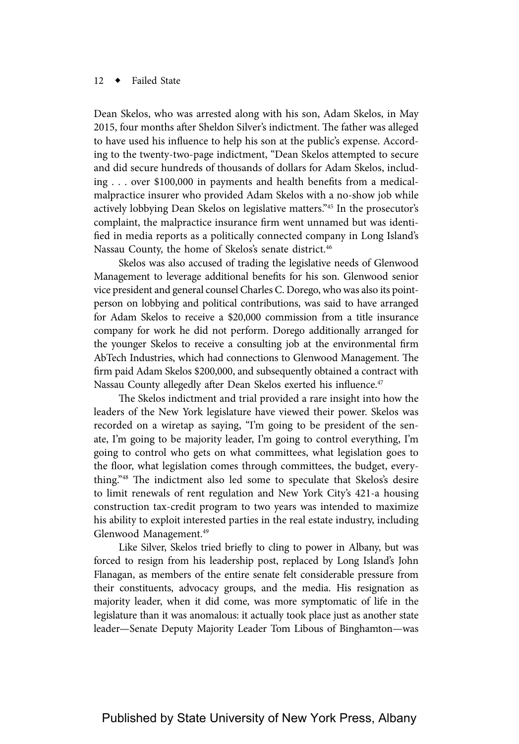Dean Skelos, who was arrested along with his son, Adam Skelos, in May 2015, four months after Sheldon Silver's indictment. The father was alleged to have used his influence to help his son at the public's expense. According to the twenty-two-page indictment, "Dean Skelos attempted to secure and did secure hundreds of thousands of dollars for Adam Skelos, including . . . over \$100,000 in payments and health benefits from a medicalmalpractice insurer who provided Adam Skelos with a no-show job while actively lobbying Dean Skelos on legislative matters."45 In the prosecutor's complaint, the malpractice insurance firm went unnamed but was identified in media reports as a politically connected company in Long Island's Nassau County, the home of Skelos's senate district.<sup>46</sup>

Skelos was also accused of trading the legislative needs of Glenwood Management to leverage additional benefits for his son. Glenwood senior vice president and general counsel Charles C. Dorego, who was also its pointperson on lobbying and political contributions, was said to have arranged for Adam Skelos to receive a \$20,000 commission from a title insurance company for work he did not perform. Dorego additionally arranged for the younger Skelos to receive a consulting job at the environmental firm AbTech Industries, which had connections to Glenwood Management. The firm paid Adam Skelos \$200,000, and subsequently obtained a contract with Nassau County allegedly after Dean Skelos exerted his influence.<sup>47</sup>

The Skelos indictment and trial provided a rare insight into how the leaders of the New York legislature have viewed their power. Skelos was recorded on a wiretap as saying, "I'm going to be president of the senate, I'm going to be majority leader, I'm going to control everything, I'm going to control who gets on what committees, what legislation goes to the floor, what legislation comes through committees, the budget, everything."48 The indictment also led some to speculate that Skelos's desire to limit renewals of rent regulation and New York City's 421-a housing construction tax-credit program to two years was intended to maximize his ability to exploit interested parties in the real estate industry, including Glenwood Management.<sup>49</sup>

Like Silver, Skelos tried briefly to cling to power in Albany, but was forced to resign from his leadership post, replaced by Long Island's John Flanagan, as members of the entire senate felt considerable pressure from their constituents, advocacy groups, and the media. His resignation as majority leader, when it did come, was more symptomatic of life in the legislature than it was anomalous: it actually took place just as another state leader—Senate Deputy Majority Leader Tom Libous of Binghamton—was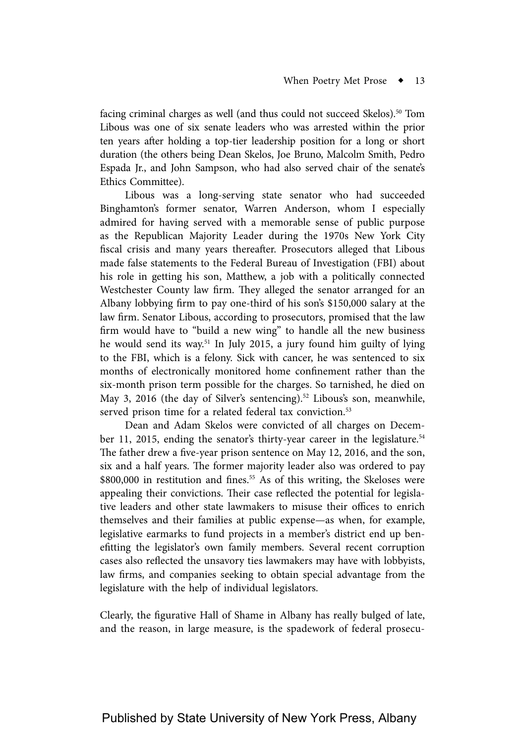facing criminal charges as well (and thus could not succeed Skelos).<sup>50</sup> Tom Libous was one of six senate leaders who was arrested within the prior ten years after holding a top-tier leadership position for a long or short duration (the others being Dean Skelos, Joe Bruno, Malcolm Smith, Pedro Espada Jr., and John Sampson, who had also served chair of the senate's Ethics Committee).

Libous was a long-serving state senator who had succeeded Binghamton's former senator, Warren Anderson, whom I especially admired for having served with a memorable sense of public purpose as the Republican Majority Leader during the 1970s New York City fiscal crisis and many years thereafter. Prosecutors alleged that Libous made false statements to the Federal Bureau of Investigation (FBI) about his role in getting his son, Matthew, a job with a politically connected Westchester County law firm. They alleged the senator arranged for an Albany lobbying firm to pay one-third of his son's \$150,000 salary at the law firm. Senator Libous, according to prosecutors, promised that the law firm would have to "build a new wing" to handle all the new business he would send its way.<sup>51</sup> In July 2015, a jury found him guilty of lying to the FBI, which is a felony. Sick with cancer, he was sentenced to six months of electronically monitored home confinement rather than the six-month prison term possible for the charges. So tarnished, he died on May 3, 2016 (the day of Silver's sentencing).<sup>52</sup> Libous's son, meanwhile, served prison time for a related federal tax conviction.<sup>53</sup>

Dean and Adam Skelos were convicted of all charges on December 11, 2015, ending the senator's thirty-year career in the legislature.<sup>54</sup> The father drew a five-year prison sentence on May 12, 2016, and the son, six and a half years. The former majority leader also was ordered to pay \$800,000 in restitution and fines.<sup>55</sup> As of this writing, the Skeloses were appealing their convictions. Their case reflected the potential for legislative leaders and other state lawmakers to misuse their offices to enrich themselves and their families at public expense—as when, for example, legislative earmarks to fund projects in a member's district end up benefitting the legislator's own family members. Several recent corruption cases also reflected the unsavory ties lawmakers may have with lobbyists, law firms, and companies seeking to obtain special advantage from the legislature with the help of individual legislators.

Clearly, the figurative Hall of Shame in Albany has really bulged of late, and the reason, in large measure, is the spadework of federal prosecu-

Published by State University of New York Press, Albany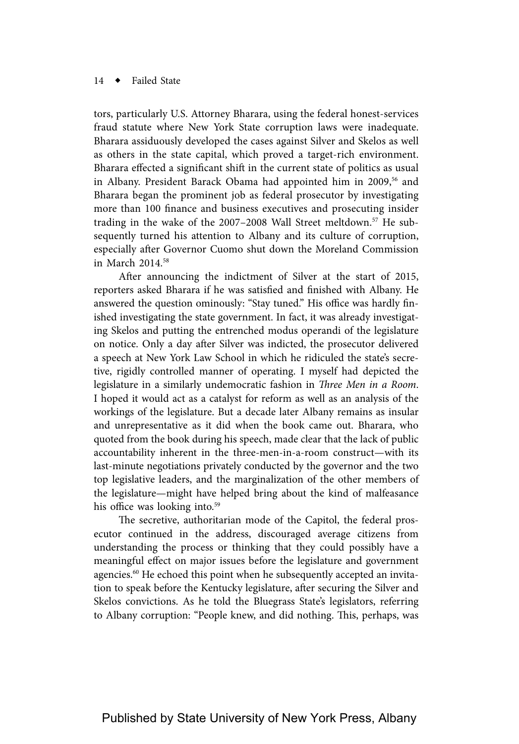tors, particularly U.S. Attorney Bharara, using the federal honest-services fraud statute where New York State corruption laws were inadequate. Bharara assiduously developed the cases against Silver and Skelos as well as others in the state capital, which proved a target-rich environment. Bharara effected a significant shift in the current state of politics as usual in Albany. President Barack Obama had appointed him in 2009,<sup>56</sup> and Bharara began the prominent job as federal prosecutor by investigating more than 100 finance and business executives and prosecuting insider trading in the wake of the 2007–2008 Wall Street meltdown.57 He subsequently turned his attention to Albany and its culture of corruption, especially after Governor Cuomo shut down the Moreland Commission in March 2014.58

After announcing the indictment of Silver at the start of 2015, reporters asked Bharara if he was satisfied and finished with Albany. He answered the question ominously: "Stay tuned." His office was hardly finished investigating the state government. In fact, it was already investigating Skelos and putting the entrenched modus operandi of the legislature on notice. Only a day after Silver was indicted, the prosecutor delivered a speech at New York Law School in which he ridiculed the state's secretive, rigidly controlled manner of operating. I myself had depicted the legislature in a similarly undemocratic fashion in *Three Men in a Room*. I hoped it would act as a catalyst for reform as well as an analysis of the workings of the legislature. But a decade later Albany remains as insular and unrepresentative as it did when the book came out. Bharara, who quoted from the book during his speech, made clear that the lack of public accountability inherent in the three-men-in-a-room construct—with its last-minute negotiations privately conducted by the governor and the two top legislative leaders, and the marginalization of the other members of the legislature—might have helped bring about the kind of malfeasance his office was looking into.<sup>59</sup>

The secretive, authoritarian mode of the Capitol, the federal prosecutor continued in the address, discouraged average citizens from understanding the process or thinking that they could possibly have a meaningful effect on major issues before the legislature and government agencies.<sup>60</sup> He echoed this point when he subsequently accepted an invitation to speak before the Kentucky legislature, after securing the Silver and Skelos convictions. As he told the Bluegrass State's legislators, referring to Albany corruption: "People knew, and did nothing. This, perhaps, was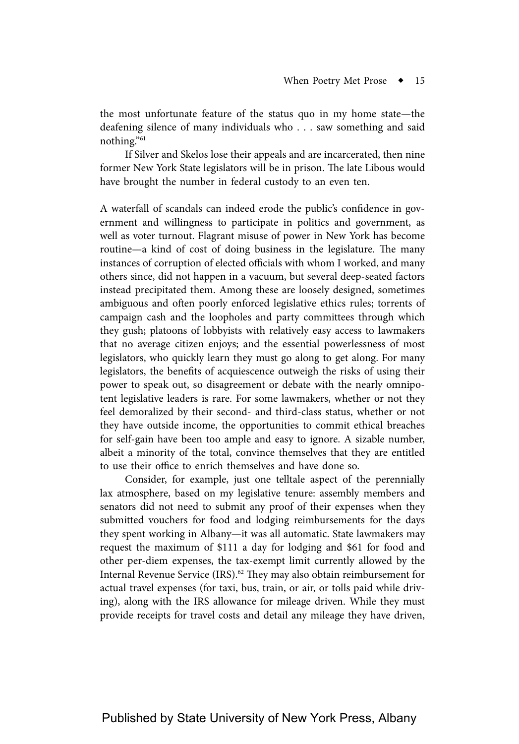the most unfortunate feature of the status quo in my home state—the deafening silence of many individuals who . . . saw something and said nothing."61

If Silver and Skelos lose their appeals and are incarcerated, then nine former New York State legislators will be in prison. The late Libous would have brought the number in federal custody to an even ten.

A waterfall of scandals can indeed erode the public's confidence in government and willingness to participate in politics and government, as well as voter turnout. Flagrant misuse of power in New York has become routine—a kind of cost of doing business in the legislature. The many instances of corruption of elected officials with whom I worked, and many others since, did not happen in a vacuum, but several deep-seated factors instead precipitated them. Among these are loosely designed, sometimes ambiguous and often poorly enforced legislative ethics rules; torrents of campaign cash and the loopholes and party committees through which they gush; platoons of lobbyists with relatively easy access to lawmakers that no average citizen enjoys; and the essential powerlessness of most legislators, who quickly learn they must go along to get along. For many legislators, the benefits of acquiescence outweigh the risks of using their power to speak out, so disagreement or debate with the nearly omnipotent legislative leaders is rare. For some lawmakers, whether or not they feel demoralized by their second- and third-class status, whether or not they have outside income, the opportunities to commit ethical breaches for self-gain have been too ample and easy to ignore. A sizable number, albeit a minority of the total, convince themselves that they are entitled to use their office to enrich themselves and have done so.

Consider, for example, just one telltale aspect of the perennially lax atmosphere, based on my legislative tenure: assembly members and senators did not need to submit any proof of their expenses when they submitted vouchers for food and lodging reimbursements for the days they spent working in Albany—it was all automatic. State lawmakers may request the maximum of \$111 a day for lodging and \$61 for food and other per-diem expenses, the tax-exempt limit currently allowed by the Internal Revenue Service (IRS).<sup>62</sup> They may also obtain reimbursement for actual travel expenses (for taxi, bus, train, or air, or tolls paid while driving), along with the IRS allowance for mileage driven. While they must provide receipts for travel costs and detail any mileage they have driven,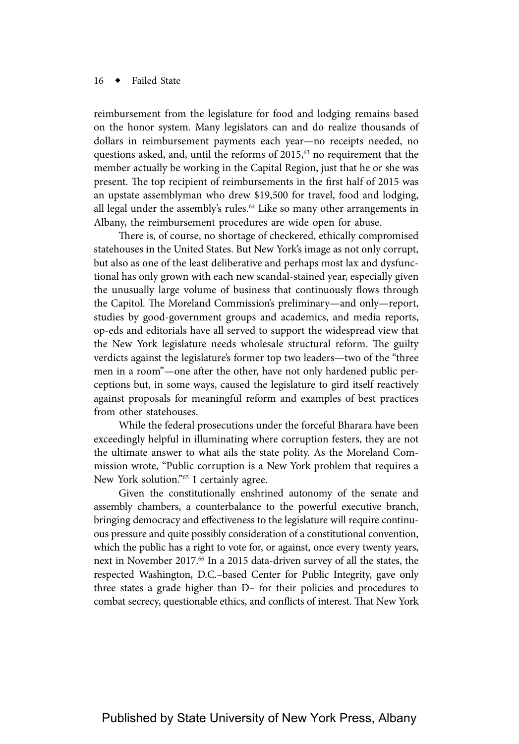reimbursement from the legislature for food and lodging remains based on the honor system. Many legislators can and do realize thousands of dollars in reimbursement payments each year—no receipts needed, no questions asked, and, until the reforms of 2015,<sup>63</sup> no requirement that the member actually be working in the Capital Region, just that he or she was present. The top recipient of reimbursements in the first half of 2015 was an upstate assemblyman who drew \$19,500 for travel, food and lodging, all legal under the assembly's rules.<sup>64</sup> Like so many other arrangements in Albany, the reimbursement procedures are wide open for abuse.

There is, of course, no shortage of checkered, ethically compromised statehouses in the United States. But New York's image as not only corrupt, but also as one of the least deliberative and perhaps most lax and dysfunctional has only grown with each new scandal-stained year, especially given the unusually large volume of business that continuously flows through the Capitol. The Moreland Commission's preliminary—and only—report, studies by good-government groups and academics, and media reports, op-eds and editorials have all served to support the widespread view that the New York legislature needs wholesale structural reform. The guilty verdicts against the legislature's former top two leaders—two of the "three men in a room"—one after the other, have not only hardened public perceptions but, in some ways, caused the legislature to gird itself reactively against proposals for meaningful reform and examples of best practices from other statehouses.

While the federal prosecutions under the forceful Bharara have been exceedingly helpful in illuminating where corruption festers, they are not the ultimate answer to what ails the state polity. As the Moreland Commission wrote, "Public corruption is a New York problem that requires a New York solution."65 I certainly agree.

Given the constitutionally enshrined autonomy of the senate and assembly chambers, a counterbalance to the powerful executive branch, bringing democracy and effectiveness to the legislature will require continuous pressure and quite possibly consideration of a constitutional convention, which the public has a right to vote for, or against, once every twenty years, next in November 2017.<sup>66</sup> In a 2015 data-driven survey of all the states, the respected Washington, D.C.–based Center for Public Integrity, gave only three states a grade higher than D– for their policies and procedures to combat secrecy, questionable ethics, and conflicts of interest. That New York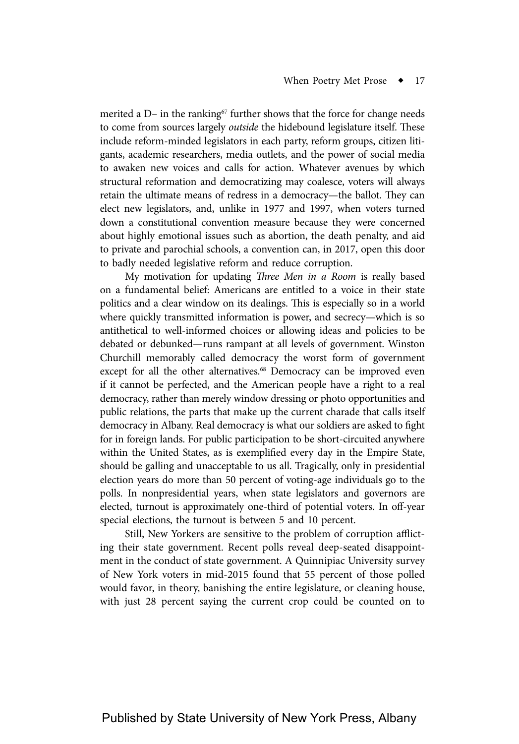merited a D– in the ranking $67$  further shows that the force for change needs to come from sources largely *outside* the hidebound legislature itself. These include reform-minded legislators in each party, reform groups, citizen litigants, academic researchers, media outlets, and the power of social media to awaken new voices and calls for action. Whatever avenues by which structural reformation and democratizing may coalesce, voters will always retain the ultimate means of redress in a democracy—the ballot. They can elect new legislators, and, unlike in 1977 and 1997, when voters turned down a constitutional convention measure because they were concerned about highly emotional issues such as abortion, the death penalty, and aid to private and parochial schools, a convention can, in 2017, open this door to badly needed legislative reform and reduce corruption.

My motivation for updating *Three Men in a Room* is really based on a fundamental belief: Americans are entitled to a voice in their state politics and a clear window on its dealings. This is especially so in a world where quickly transmitted information is power, and secrecy—which is so antithetical to well-informed choices or allowing ideas and policies to be debated or debunked—runs rampant at all levels of government. Winston Churchill memorably called democracy the worst form of government except for all the other alternatives.<sup>68</sup> Democracy can be improved even if it cannot be perfected, and the American people have a right to a real democracy, rather than merely window dressing or photo opportunities and public relations, the parts that make up the current charade that calls itself democracy in Albany. Real democracy is what our soldiers are asked to fight for in foreign lands. For public participation to be short-circuited anywhere within the United States, as is exemplified every day in the Empire State, should be galling and unacceptable to us all. Tragically, only in presidential election years do more than 50 percent of voting-age individuals go to the polls. In nonpresidential years, when state legislators and governors are elected, turnout is approximately one-third of potential voters. In off-year special elections, the turnout is between 5 and 10 percent.

Still, New Yorkers are sensitive to the problem of corruption afflicting their state government. Recent polls reveal deep-seated disappointment in the conduct of state government. A Quinnipiac University survey of New York voters in mid-2015 found that 55 percent of those polled would favor, in theory, banishing the entire legislature, or cleaning house, with just 28 percent saying the current crop could be counted on to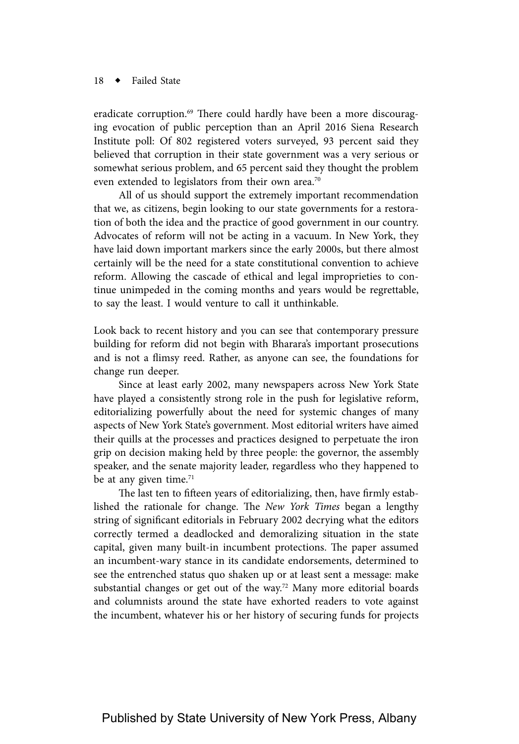eradicate corruption.<sup>69</sup> There could hardly have been a more discouraging evocation of public perception than an April 2016 Siena Research Institute poll: Of 802 registered voters surveyed, 93 percent said they believed that corruption in their state government was a very serious or somewhat serious problem, and 65 percent said they thought the problem even extended to legislators from their own area.<sup>70</sup>

All of us should support the extremely important recommendation that we, as citizens, begin looking to our state governments for a restoration of both the idea and the practice of good government in our country. Advocates of reform will not be acting in a vacuum. In New York, they have laid down important markers since the early 2000s, but there almost certainly will be the need for a state constitutional convention to achieve reform. Allowing the cascade of ethical and legal improprieties to continue unimpeded in the coming months and years would be regrettable, to say the least. I would venture to call it unthinkable.

Look back to recent history and you can see that contemporary pressure building for reform did not begin with Bharara's important prosecutions and is not a flimsy reed. Rather, as anyone can see, the foundations for change run deeper.

Since at least early 2002, many newspapers across New York State have played a consistently strong role in the push for legislative reform, editorializing powerfully about the need for systemic changes of many aspects of New York State's government. Most editorial writers have aimed their quills at the processes and practices designed to perpetuate the iron grip on decision making held by three people: the governor, the assembly speaker, and the senate majority leader, regardless who they happened to be at any given time.<sup>71</sup>

The last ten to fifteen years of editorializing, then, have firmly established the rationale for change. The *New York Times* began a lengthy string of significant editorials in February 2002 decrying what the editors correctly termed a deadlocked and demoralizing situation in the state capital, given many built-in incumbent protections. The paper assumed an incumbent-wary stance in its candidate endorsements, determined to see the entrenched status quo shaken up or at least sent a message: make substantial changes or get out of the way.<sup>72</sup> Many more editorial boards and columnists around the state have exhorted readers to vote against the incumbent, whatever his or her history of securing funds for projects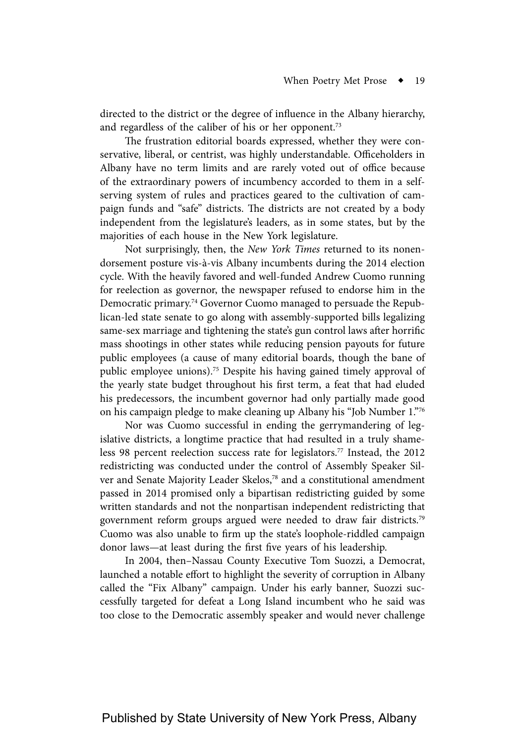directed to the district or the degree of influence in the Albany hierarchy, and regardless of the caliber of his or her opponent.<sup>73</sup>

The frustration editorial boards expressed, whether they were conservative, liberal, or centrist, was highly understandable. Officeholders in Albany have no term limits and are rarely voted out of office because of the extraordinary powers of incumbency accorded to them in a selfserving system of rules and practices geared to the cultivation of campaign funds and "safe" districts. The districts are not created by a body independent from the legislature's leaders, as in some states, but by the majorities of each house in the New York legislature.

Not surprisingly, then, the *New York Times* returned to its nonendorsement posture vis-à-vis Albany incumbents during the 2014 election cycle. With the heavily favored and well-funded Andrew Cuomo running for reelection as governor, the newspaper refused to endorse him in the Democratic primary.<sup>74</sup> Governor Cuomo managed to persuade the Republican-led state senate to go along with assembly-supported bills legalizing same-sex marriage and tightening the state's gun control laws after horrific mass shootings in other states while reducing pension payouts for future public employees (a cause of many editorial boards, though the bane of public employee unions).<sup>75</sup> Despite his having gained timely approval of the yearly state budget throughout his first term, a feat that had eluded his predecessors, the incumbent governor had only partially made good on his campaign pledge to make cleaning up Albany his "Job Number 1."76

Nor was Cuomo successful in ending the gerrymandering of legislative districts, a longtime practice that had resulted in a truly shameless 98 percent reelection success rate for legislators.<sup>77</sup> Instead, the 2012 redistricting was conducted under the control of Assembly Speaker Silver and Senate Majority Leader Skelos,<sup>78</sup> and a constitutional amendment passed in 2014 promised only a bipartisan redistricting guided by some written standards and not the nonpartisan independent redistricting that government reform groups argued were needed to draw fair districts.79 Cuomo was also unable to firm up the state's loophole-riddled campaign donor laws—at least during the first five years of his leadership.

In 2004, then–Nassau County Executive Tom Suozzi, a Democrat, launched a notable effort to highlight the severity of corruption in Albany called the "Fix Albany" campaign. Under his early banner, Suozzi successfully targeted for defeat a Long Island incumbent who he said was too close to the Democratic assembly speaker and would never challenge